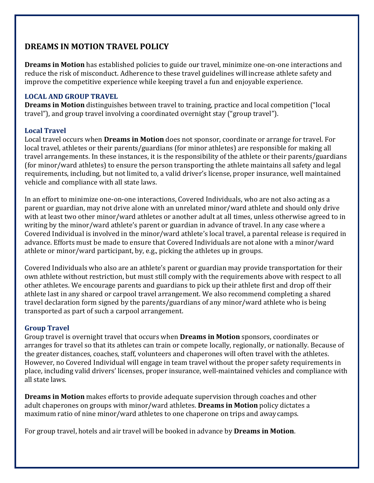# **DREAMS IN MOTION TRAVEL POLICY**

**Dreams in Motion** has established policies to guide our travel, minimize one‐on‐one interactions and reduce the risk of misconduct. Adherence to these travel guidelines willincrease athlete safety and improve the competitive experience while keeping travel a fun and enjoyable experience.

### **LOCAL AND GROUP TRAVEL**

**Dreams in Motion** distinguishes between travel to training, practice and local competition ("local travel"), and group travel involving a coordinated overnight stay ("group travel").

## **Local Travel**

Local travel occurs when **Dreams in Motion** does not sponsor, coordinate or arrange for travel. For local travel, athletes or their parents/guardians (for minor athletes) are responsible for making all travel arrangements. In these instances, it is the responsibility of the athlete or their parents/guardians (for minor/ward athletes) to ensure the person transporting the athlete maintains all safety and legal requirements, including, but not limited to, a valid driver's license, proper insurance, well maintained vehicle and compliance with all state laws.

In an effort to minimize one‐on‐one interactions, Covered Individuals, who are not also acting as a parent or guardian, may not drive alone with an unrelated minor/ward athlete and should only drive with at least two other minor/ward athletes or another adult at all times, unless otherwise agreed to in writing by the minor/ward athlete's parent or guardian in advance of travel. In any case where a Covered Individual is involved in the minor/ward athlete's local travel, a parental release is required in advance. Efforts must be made to ensure that Covered Individuals are not alone with a minor/ward athlete or minor/ward participant, by, e.g., picking the athletes up in groups.

Covered Individuals who also are an athlete's parent or guardian may provide transportation for their own athlete without restriction, but must still comply with the requirements above with respect to all other athletes. We encourage parents and guardians to pick up their athlete first and drop off their athlete last in any shared or carpool travel arrangement. We also recommend completing a shared travel declaration form signed by the parents/guardians of any minor/ward athlete who is being transported as part of such a carpool arrangement.

### **Group Travel**

Group travel is overnight travel that occurs when **Dreams in Motion** sponsors, coordinates or arranges for travel so that its athletes can train or compete locally, regionally, or nationally. Because of the greater distances, coaches, staff, volunteers and chaperones will often travel with the athletes. However, no Covered Individual will engage in team travel without the proper safety requirements in place, including valid drivers' licenses, proper insurance, well‐maintained vehicles and compliance with all state laws.

**Dreams in Motion** makes efforts to provide adequate supervision through coaches and other adult chaperones on groups with minor/ward athletes. **Dreams in Motion** policy dictates a maximum ratio of nine minor/ward athletes to one chaperone on trips and awaycamps.

For group travel, hotels and air travel will be booked in advance by **Dreams in Motion**.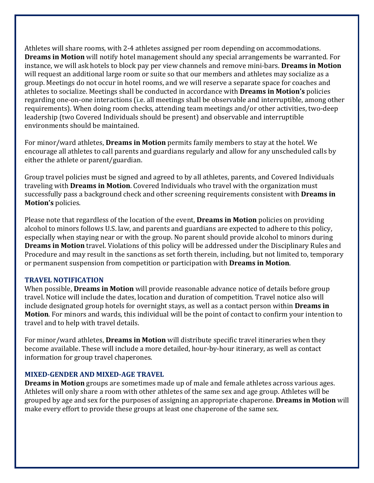Athletes will share rooms, with 2‐4 athletes assigned per room depending on accommodations. **Dreams in Motion** will notify hotel management should any special arrangements be warranted. For instance, we will ask hotels to block pay per view channels and remove mini‐bars. **Dreams in Motion** will request an additional large room or suite so that our members and athletes may socialize as a group. Meetings do not occur in hotel rooms, and we will reserve a separate space for coaches and athletes to socialize. Meetings shall be conducted in accordance with **Dreams in Motion's** policies regarding one‐on‐one interactions (i.e. all meetings shall be observable and interruptible, among other requirements). When doing room checks, attending team meetings and/or other activities, two-deep leadership (two Covered Individuals should be present) and observable and interruptible environments should be maintained.

For minor/ward athletes, **Dreams in Motion** permits family members to stay at the hotel. We encourage all athletes to call parents and guardians regularly and allow for any unscheduled calls by either the athlete or parent/guardian.

Group travel policies must be signed and agreed to by all athletes, parents, and Covered Individuals traveling with **Dreams in Motion**. Covered Individuals who travel with the organization must successfully pass a background check and other screening requirements consistent with **Dreams in Motion's** policies.

Please note that regardless of the location of the event, **Dreams in Motion** policies on providing alcohol to minors follows U.S. law, and parents and guardians are expected to adhere to this policy, especially when staying near or with the group. No parent should provide alcohol to minors during **Dreams in Motion** travel. Violations of this policy will be addressed under the Disciplinary Rules and Procedure and may result in the sanctions as set forth therein, including, but not limited to, temporary or permanent suspension from competition or participation with **Dreams in Motion**.

#### **TRAVEL NOTIFICATION**

When possible, **Dreams in Motion** will provide reasonable advance notice of details before group travel. Notice will include the dates, location and duration of competition. Travel notice also will include designated group hotels for overnight stays, as well as a contact person within **Dreams in Motion**. For minors and wards, this individual will be the point of contact to confirm your intention to travel and to help with travel details.

For minor/ward athletes, **Dreams in Motion** will distribute specific travel itineraries when they become available. These will include a more detailed, hour‐by‐hour itinerary, as well as contact information for group travel chaperones.

#### **MIXED‐GENDER AND MIXED‐AGE TRAVEL**

**Dreams in Motion** groups are sometimes made up of male and female athletes across various ages. Athletes will only share a room with other athletes of the same sex and age group. Athletes will be grouped by age and sex for the purposes of assigning an appropriate chaperone. **Dreams in Motion** will make every effort to provide these groups at least one chaperone of the same sex.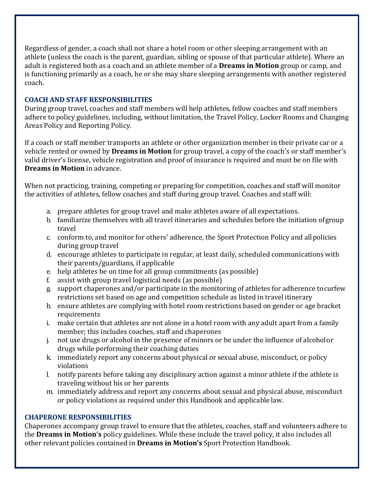Regardless of gender, a coach shall not share a hotel room or other sleeping arrangement with an athlete (unless the coach is the parent, guardian, sibling or spouse of that particular athlete). Where an adult is registered both as a coach and an athlete member of a **Dreams in Motion** group or camp, and is functioning primarily as a coach, he or she may share sleeping arrangements with another registered coach.

### **COACH AND STAFF RESPONSIBILITIES**

During group travel, coaches and staff members will help athletes, fellow coaches and staff members adhere to policy guidelines, including, without limitation, the Travel Policy, Locker Rooms and Changing Areas Policy and Reporting Policy.

If a coach or staff member transports an athlete or other organization member in their private car or a vehicle rented or owned by **Dreams in Motion** for group travel, a copy of the coach's or staff member's valid driver's license, vehicle registration and proof of insurance is required and must be on file with **Dreams in Motion** in advance.

When not practicing, training, competing or preparing for competition, coaches and staff will monitor the activities of athletes, fellow coaches and staff during group travel. Coaches and staff will:

- a. prepare athletes for group travel and make athletes aware of all expectations.
- b. familiarize themselves with all travel itineraries and schedules before the initiation ofgroup travel
- c. conform to, and monitor for others' adherence, the Sport Protection Policy and allpolicies during group travel
- d. encourage athletes to participate in regular, at least daily, scheduled communications with their parents/guardians, if applicable
- e. help athletes be on time for all group commitments (as possible)<br>f. assist with group travel logistical needs (as possible)
- assist with group travel logistical needs (as possible)
- g. support chaperones and/or participate in the monitoring of athletes for adherence tocurfew restrictions set based on age and competition schedule as listed in travel itinerary
- h. ensure athletes are complying with hotel room restrictions based on gender or age bracket requirements
- i. make certain that athletes are not alone in a hotel room with any adult apart from a family member; this includes coaches, staff and chaperones
- j. not use drugs or alcohol in the presence of minors or be under the influence of alcoholor drugs while performing their coaching duties
- k. immediately report any concerns about physical or sexual abuse, misconduct, or policy violations
- l. notify parents before taking any disciplinary action against a minor athlete if the athlete is traveling without his or her parents
- m. immediately address and report any concerns about sexual and physical abuse, misconduct or policy violations as required under this Handbook and applicable law.

#### **CHAPERONE RESPONSIBILITIES**

Chaperones accompany group travel to ensure that the athletes, coaches, staff and volunteers adhere to the **Dreams in Motion's** policy guidelines. While these include the travel policy, it also includes all other relevant policies contained in **Dreams in Motion's** Sport Protection Handbook.